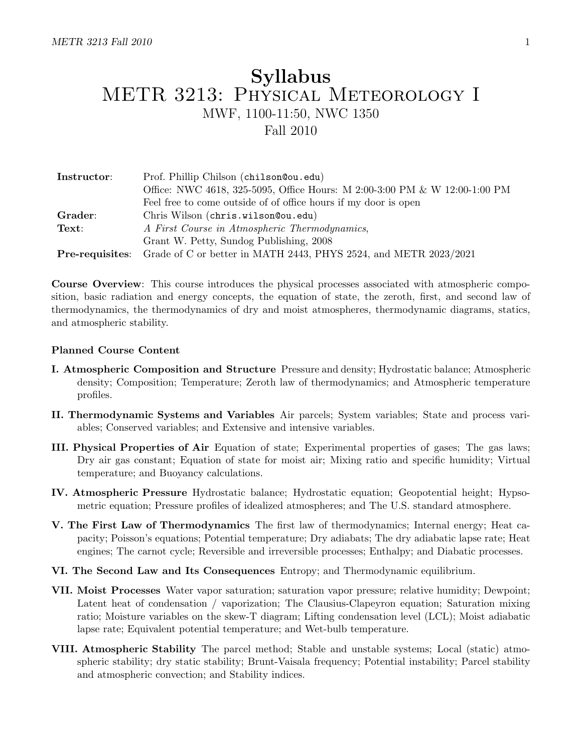# Syllabus METR 3213: Physical Meteorology I MWF, 1100-11:50, NWC 1350 Fall 2010

| Instructor: | Prof. Phillip Chilson (chilson@ou.edu)                                                  |  |  |  |
|-------------|-----------------------------------------------------------------------------------------|--|--|--|
|             | Office: NWC 4618, 325-5095, Office Hours: M 2:00-3:00 PM & W 12:00-1:00 PM              |  |  |  |
|             | Feel free to come outside of of office hours if my door is open                         |  |  |  |
| Grader:     | Chris Wilson (chris.wilson@ou.edu)                                                      |  |  |  |
| Text:       | A First Course in Atmospheric Thermodynamics,                                           |  |  |  |
|             | Grant W. Petty, Sundog Publishing, 2008                                                 |  |  |  |
|             | <b>Pre-requisites:</b> Grade of C or better in MATH 2443, PHYS 2524, and METR 2023/2021 |  |  |  |

Course Overview: This course introduces the physical processes associated with atmospheric composition, basic radiation and energy concepts, the equation of state, the zeroth, first, and second law of thermodynamics, the thermodynamics of dry and moist atmospheres, thermodynamic diagrams, statics, and atmospheric stability.

## Planned Course Content

- I. Atmospheric Composition and Structure Pressure and density; Hydrostatic balance; Atmospheric density; Composition; Temperature; Zeroth law of thermodynamics; and Atmospheric temperature profiles.
- II. Thermodynamic Systems and Variables Air parcels; System variables; State and process variables; Conserved variables; and Extensive and intensive variables.
- III. Physical Properties of Air Equation of state; Experimental properties of gases; The gas laws; Dry air gas constant; Equation of state for moist air; Mixing ratio and specific humidity; Virtual temperature; and Buoyancy calculations.
- IV. Atmospheric Pressure Hydrostatic balance; Hydrostatic equation; Geopotential height; Hypsometric equation; Pressure profiles of idealized atmospheres; and The U.S. standard atmosphere.
- V. The First Law of Thermodynamics The first law of thermodynamics; Internal energy; Heat capacity; Poisson's equations; Potential temperature; Dry adiabats; The dry adiabatic lapse rate; Heat engines; The carnot cycle; Reversible and irreversible processes; Enthalpy; and Diabatic processes.
- VI. The Second Law and Its Consequences Entropy; and Thermodynamic equilibrium.
- VII. Moist Processes Water vapor saturation; saturation vapor pressure; relative humidity; Dewpoint; Latent heat of condensation / vaporization; The Clausius-Clapeyron equation; Saturation mixing ratio; Moisture variables on the skew-T diagram; Lifting condensation level (LCL); Moist adiabatic lapse rate; Equivalent potential temperature; and Wet-bulb temperature.
- VIII. Atmospheric Stability The parcel method; Stable and unstable systems; Local (static) atmospheric stability; dry static stability; Brunt-Vaisala frequency; Potential instability; Parcel stability and atmospheric convection; and Stability indices.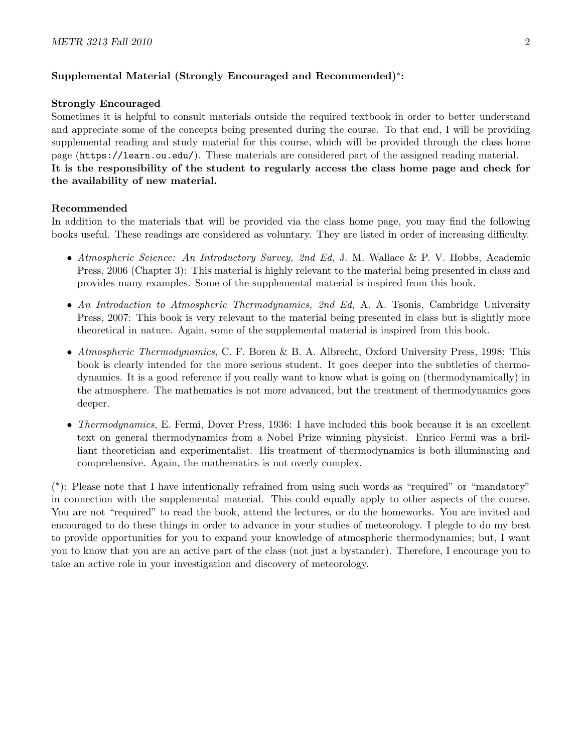# Supplemental Material (Strongly Encouraged and Recommended)<sup>∗</sup> :

#### Strongly Encouraged

Sometimes it is helpful to consult materials outside the required textbook in order to better understand and appreciate some of the concepts being presented during the course. To that end, I will be providing supplemental reading and study material for this course, which will be provided through the class home page (https://learn.ou.edu/). These materials are considered part of the assigned reading material. It is the responsibility of the student to regularly access the class home page and check for the availability of new material.

# Recommended

In addition to the materials that will be provided via the class home page, you may find the following books useful. These readings are considered as voluntary. They are listed in order of increasing difficulty.

- Atmospheric Science: An Introductory Survey, 2nd Ed, J. M. Wallace & P. V. Hobbs, Academic Press, 2006 (Chapter 3): This material is highly relevant to the material being presented in class and provides many examples. Some of the supplemental material is inspired from this book.
- An Introduction to Atmospheric Thermodynamics, 2nd Ed, A. A. Tsonis, Cambridge University Press, 2007: This book is very relevant to the material being presented in class but is slightly more theoretical in nature. Again, some of the supplemental material is inspired from this book.
- Atmospheric Thermodynamics, C. F. Boren & B. A. Albrecht, Oxford University Press, 1998: This book is clearly intended for the more serious student. It goes deeper into the subtleties of thermodynamics. It is a good reference if you really want to know what is going on (thermodynamically) in the atmosphere. The mathematics is not more advanced, but the treatment of thermodynamics goes deeper.
- Thermodynamics, E. Fermi, Dover Press, 1936: I have included this book because it is an excellent text on general thermodynamics from a Nobel Prize winning physicist. Enrico Fermi was a brilliant theoretician and experimentalist. His treatment of thermodynamics is both illuminating and comprehensive. Again, the mathematics is not overly complex.

( ∗ ): Please note that I have intentionally refrained from using such words as "required" or "mandatory" in connection with the supplemental material. This could equally apply to other aspects of the course. You are not "required" to read the book, attend the lectures, or do the homeworks. You are invited and encouraged to do these things in order to advance in your studies of meteorology. I plegde to do my best to provide opportunities for you to expand your knowledge of atmospheric thermodynamics; but, I want you to know that you are an active part of the class (not just a bystander). Therefore, I encourage you to take an active role in your investigation and discovery of meteorology.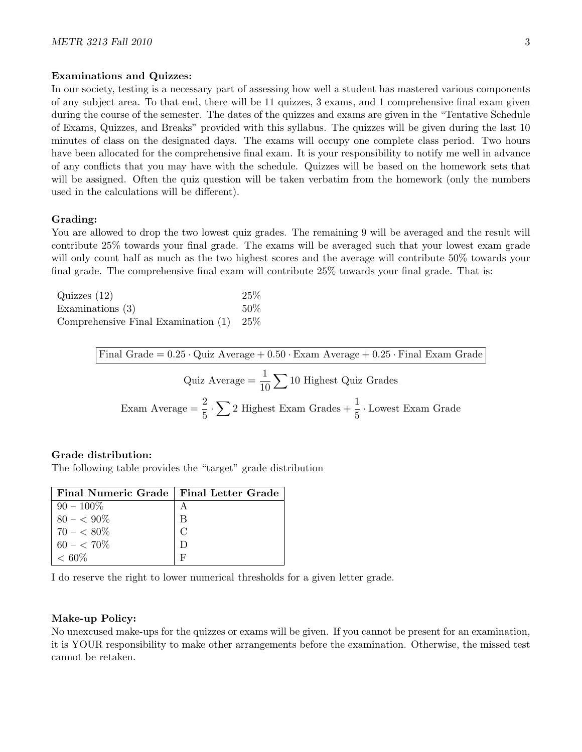#### Examinations and Quizzes:

In our society, testing is a necessary part of assessing how well a student has mastered various components of any subject area. To that end, there will be 11 quizzes, 3 exams, and 1 comprehensive final exam given during the course of the semester. The dates of the quizzes and exams are given in the "Tentative Schedule of Exams, Quizzes, and Breaks" provided with this syllabus. The quizzes will be given during the last 10 minutes of class on the designated days. The exams will occupy one complete class period. Two hours have been allocated for the comprehensive final exam. It is your responsibility to notify me well in advance of any conflicts that you may have with the schedule. Quizzes will be based on the homework sets that will be assigned. Often the quiz question will be taken verbatim from the homework (only the numbers used in the calculations will be different).

#### Grading:

You are allowed to drop the two lowest quiz grades. The remaining 9 will be averaged and the result will contribute 25% towards your final grade. The exams will be averaged such that your lowest exam grade will only count half as much as the two highest scores and the average will contribute  $50\%$  towards your final grade. The comprehensive final exam will contribute 25% towards your final grade. That is:

| Quizzes $(12)$                            | 25\% |
|-------------------------------------------|------|
| Examinations $(3)$                        | 50%  |
| Comprehensive Final Examination $(1)$ 25% |      |

Final Grade  $= 0.25 \cdot$  Quiz Average  $+ 0.50 \cdot$  Exam Average  $+ 0.25 \cdot$  Final Exam Grade

Quiz Average =  $\frac{1}{10} \sum 10$  Highest Quiz Grades Exam Average =  $\frac{2}{5} \cdot \sum 2$  Highest Exam Grades +  $\frac{1}{5}$  · Lowest Exam Grade

#### Grade distribution:

The following table provides the "target" grade distribution

| Final Numeric Grade   Final Letter Grade |        |
|------------------------------------------|--------|
| $90 - 100\%$                             |        |
| $80 - 5.90\%$                            | В      |
| $70 - < 80\%$                            | $\cap$ |
| $60 - 570\%$                             |        |
| ${}< 60\%$                               |        |

I do reserve the right to lower numerical thresholds for a given letter grade.

#### Make-up Policy:

No unexcused make-ups for the quizzes or exams will be given. If you cannot be present for an examination, it is YOUR responsibility to make other arrangements before the examination. Otherwise, the missed test cannot be retaken.